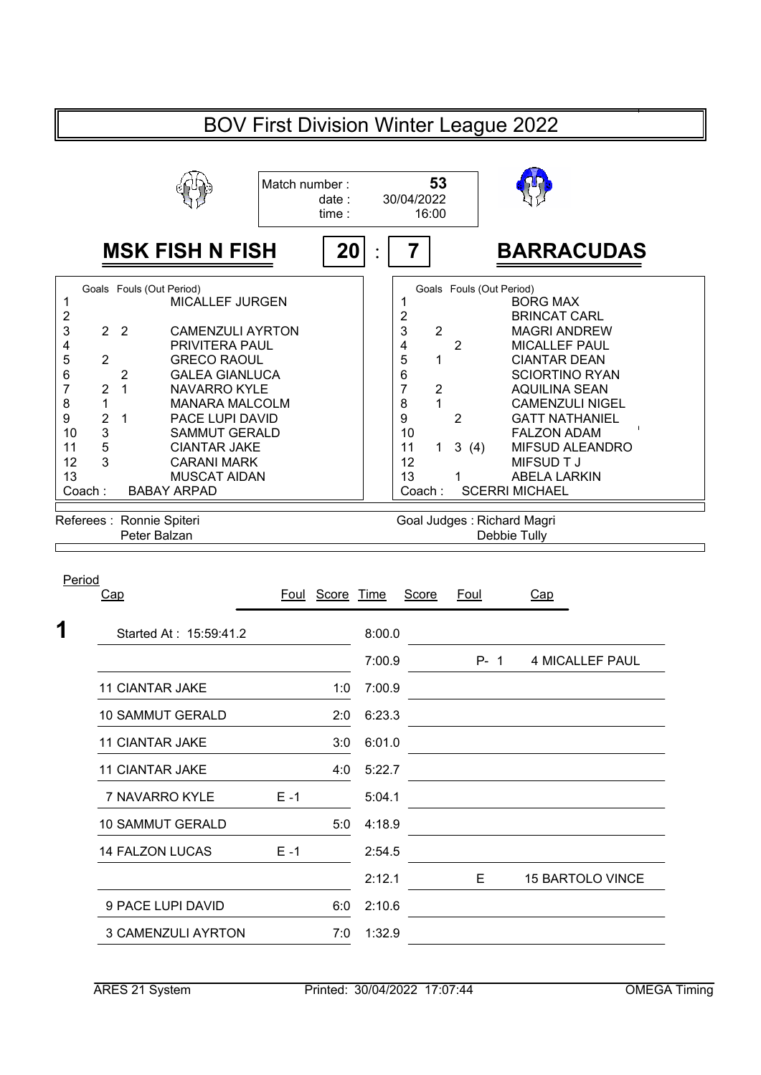|                              | <b>BOV First Division Winter League 2022</b> |                |                                                  |               |                |                            |                |                       |                |                                                                    |  |  |
|------------------------------|----------------------------------------------|----------------|--------------------------------------------------|---------------|----------------|----------------------------|----------------|-----------------------|----------------|--------------------------------------------------------------------|--|--|
|                              |                                              |                |                                                  | Match number: | date:<br>time: |                            | 30/04/2022     | 53<br>16:00           |                |                                                                    |  |  |
| <b>MSK FISH N FISH</b><br>20 |                                              |                |                                                  |               |                |                            |                |                       |                | <b>BARRACUDAS</b>                                                  |  |  |
| 1<br>$\overline{\mathbf{c}}$ |                                              |                | Goals Fouls (Out Period)<br>MICALLEF JURGEN      |               |                |                            | 1<br>2         |                       |                | Goals Fouls (Out Period)<br><b>BORG MAX</b><br><b>BRINCAT CARL</b> |  |  |
| 3<br>4                       | $\overline{2}$                               | $\overline{2}$ | <b>CAMENZULI AYRTON</b><br><b>PRIVITERA PAUL</b> |               |                |                            | 3<br>4         | $\overline{2}$        | $\overline{2}$ | <b>MAGRI ANDREW</b><br><b>MICALLEF PAUL</b>                        |  |  |
| 5                            | 2                                            |                | <b>GRECO RAOUL</b>                               |               |                |                            | 5              | 1                     |                | <b>CIANTAR DEAN</b>                                                |  |  |
| 6                            |                                              | 2              | <b>GALEA GIANLUCA</b>                            |               |                |                            | 6              |                       |                | <b>SCIORTINO RYAN</b>                                              |  |  |
| $\overline{7}$               | 2                                            | 1              | <b>NAVARRO KYLE</b>                              |               |                |                            | $\overline{7}$ | $\mathbf 2$           |                | AQUILINA SEAN                                                      |  |  |
| 8                            | 1                                            |                | <b>MANARA MALCOLM</b>                            |               |                |                            | 8              | 1                     |                | <b>CAMENZULI NIGEL</b>                                             |  |  |
| 9                            | $\overline{c}$                               | 1              | PACE LUPI DAVID                                  |               |                |                            | 9              |                       | 2              | <b>GATT NATHANIEL</b>                                              |  |  |
| 10<br>11                     | 3<br>5                                       |                | <b>SAMMUT GERALD</b><br><b>CIANTAR JAKE</b>      |               |                |                            | 10<br>11       | 1.                    |                | <b>FALZON ADAM</b>                                                 |  |  |
| 12                           | 3                                            |                | <b>CARANI MARK</b>                               |               |                |                            | 12             |                       | 3(4)           | <b>MIFSUD ALEANDRO</b><br>MIFSUD T J                               |  |  |
| 13                           |                                              |                | <b>MUSCAT AIDAN</b>                              |               |                |                            | 13             |                       |                | <b>ABELA LARKIN</b>                                                |  |  |
| Coach:<br><b>BABAY ARPAD</b> |                                              |                |                                                  |               | Coach:         |                            |                | <b>SCERRI MICHAEL</b> |                |                                                                    |  |  |
|                              |                                              |                |                                                  |               |                |                            |                |                       |                |                                                                    |  |  |
| Referees : Ronnie Spiteri    |                                              |                |                                                  |               |                | Goal Judges: Richard Magri |                |                       |                |                                                                    |  |  |
|                              |                                              |                | Peter Balzan                                     |               |                |                            |                |                       |                | Debbie Tully                                                       |  |  |

| Period<br>Cap             |         | Foul Score Time |        | <b>Score</b> | <b>Foul</b> | Cap                     |
|---------------------------|---------|-----------------|--------|--------------|-------------|-------------------------|
| Started At: 15:59:41.2    |         |                 | 8:00.0 |              |             |                         |
|                           |         |                 | 7:00.9 |              | $P - 1$     | 4 MICALLEF PAUL         |
| <b>11 CIANTAR JAKE</b>    |         | 1:0             | 7:00.9 |              |             |                         |
| <b>10 SAMMUT GERALD</b>   |         | 2:0             | 6:23.3 |              |             |                         |
| <b>11 CIANTAR JAKE</b>    |         | 3:0             | 6:01.0 |              |             |                         |
| <b>11 CIANTAR JAKE</b>    |         | 4:0             | 5:22.7 |              |             |                         |
| 7 NAVARRO KYLE            | $E - 1$ |                 | 5:04.1 |              |             |                         |
| <b>10 SAMMUT GERALD</b>   |         | 5:0             | 4:18.9 |              |             |                         |
| 14 FALZON LUCAS           | $E - 1$ |                 | 2:54.5 |              |             |                         |
|                           |         |                 | 2:12.1 |              | Е           | <b>15 BARTOLO VINCE</b> |
| 9 PACE LUPI DAVID         |         | 6:0             | 2:10.6 |              |             |                         |
| <b>3 CAMENZULI AYRTON</b> |         | 7:0             | 1:32.9 |              |             |                         |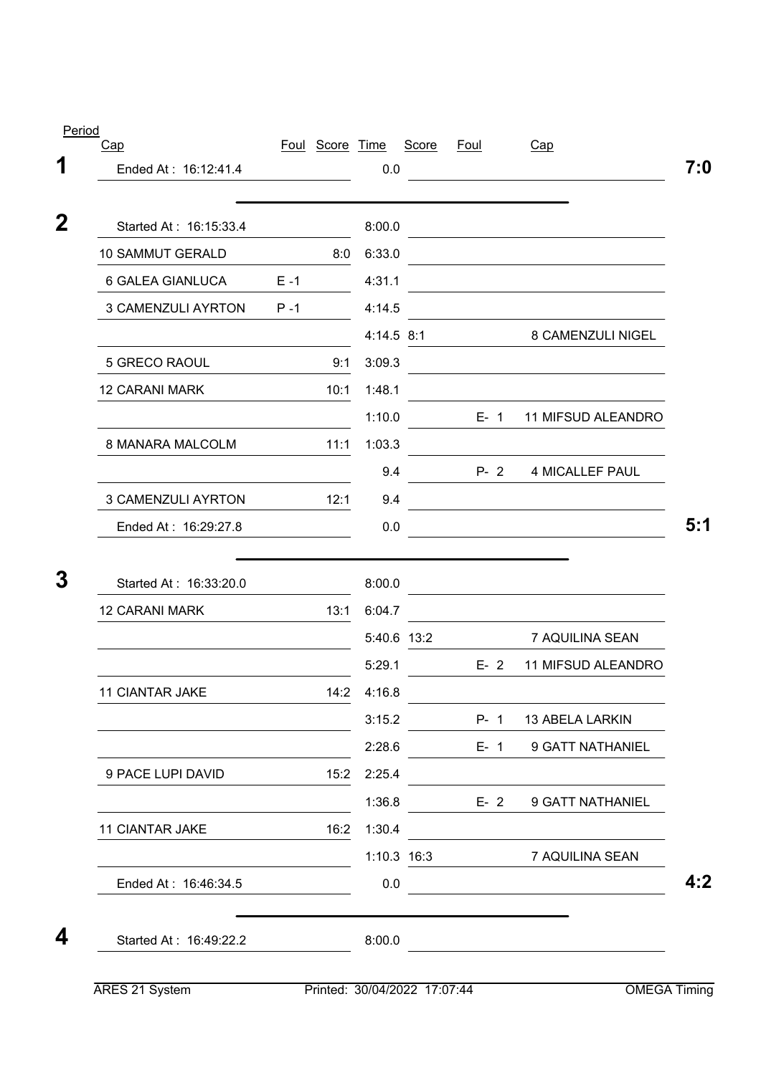|         |      | 0.0                    |                             |                                               |                                                                              |
|---------|------|------------------------|-----------------------------|-----------------------------------------------|------------------------------------------------------------------------------|
|         |      |                        |                             |                                               |                                                                              |
|         |      | 8:00.0                 |                             |                                               | the control of the control of the control of the control of the control of   |
|         | 8:0  | 6:33.0                 |                             |                                               |                                                                              |
| $E - 1$ |      | 4:31.1                 |                             |                                               |                                                                              |
| $P - 1$ |      | 4:14.5                 |                             |                                               |                                                                              |
|         |      |                        |                             |                                               | 8 CAMENZULI NIGEL                                                            |
|         | 9:1  | 3:09.3                 |                             |                                               |                                                                              |
|         | 10:1 | 1:48.1                 |                             |                                               |                                                                              |
|         |      | 1:10.0                 |                             |                                               | E- 1 11 MIFSUD ALEANDRO                                                      |
|         | 11:1 | 1:03.3                 |                             |                                               |                                                                              |
|         |      | 9.4                    |                             |                                               | <b>4 MICALLEF PAUL</b>                                                       |
|         | 12:1 | 9.4                    |                             |                                               |                                                                              |
|         |      | 0.0                    |                             |                                               |                                                                              |
|         |      | 8:00.0                 |                             |                                               |                                                                              |
|         | 13:1 | 6:04.7                 |                             |                                               |                                                                              |
|         |      |                        |                             |                                               | 7 AQUILINA SEAN                                                              |
|         |      | 5:29.1                 |                             |                                               | 11 MIFSUD ALEANDRO                                                           |
|         |      |                        |                             |                                               |                                                                              |
|         |      |                        |                             |                                               | P- 1 13 ABELA LARKIN                                                         |
|         |      |                        |                             |                                               | E- 1 9 GATT NATHANIEL                                                        |
|         |      | 2:25.4                 |                             |                                               |                                                                              |
|         |      | 1:36.8                 |                             |                                               | 9 GATT NATHANIEL                                                             |
|         |      | 1:30.4                 |                             |                                               |                                                                              |
|         |      |                        |                             |                                               | 7 AQUILINA SEAN                                                              |
|         |      | 0.0                    |                             |                                               |                                                                              |
|         |      | 8:00.0                 |                             |                                               |                                                                              |
|         |      | Started At: 16:49:22.2 | 14:2 4:16.8<br>15:2<br>16:2 | 4:14.5 8:1<br>5:40.6 13:2<br>3:15.2<br>2:28.6 | $P - 2$<br>$E - 2$<br>$E - 2$<br>1:10.3 16:3<br>Printed: 30/04/2022 17:07:44 |